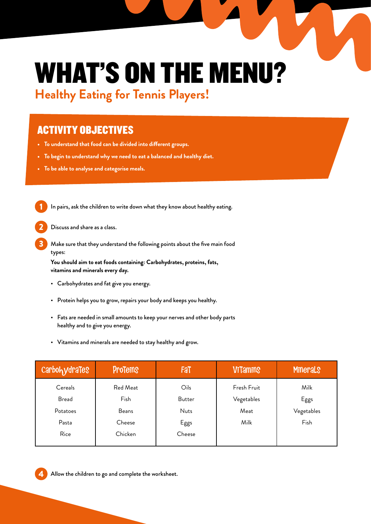### WHAT'S ON THE MENU? **Healthy Eating for Tennis Players!**

### ACTIVITY OBJECTIVES

- **• To understand that food can be divided into different groups.**
- **• To begin to understand why we need to eat a balanced and healthy diet.**
- **• To be able to analyse and categorise meals.**

In pairs, ask the children to write down what they know about healthy eating.

Discuss and share as a class.

Make sure that they understand the following points about the five main food types:

**You should aim to eat foods containing: Carbohydrates, proteins, fats, vitamins and minerals every day.**

- Carbohydrates and fat give you energy.
- Protein helps you to grow, repairs your body and keeps you healthy.
- Fats are needed in small amounts to keep your nerves and other body parts healthy and to give you energy.
- Vitamins and minerals are needed to stay healthy and grow.

| <b>CarbohydraTeS</b> | <b>ProTeins</b> | Fat         | <b>ViTamins</b> | <b>Minerals</b> |
|----------------------|-----------------|-------------|-----------------|-----------------|
| Cereals              | Red Meat        | Oils        | Fresh Fruit     | Milk            |
| <b>Bread</b>         | Fish            | Butter      | Vegetables      | Eggs            |
| Potatoes             | Beans           | <b>Nuts</b> | Meat            | Vegetables      |
| Pasta                | Cheese          | Eggs        | Milk            | Fish            |
| Rice                 | Chicken         | Cheese      |                 |                 |
|                      |                 |             |                 |                 |

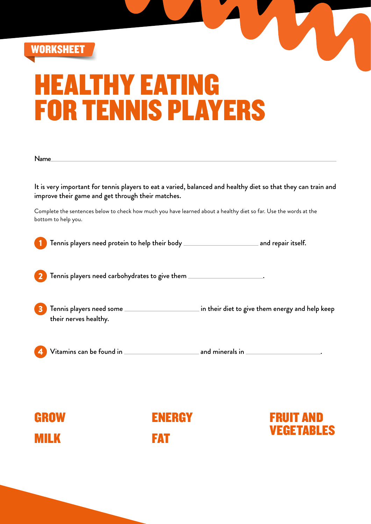

## HEALTHY EATING FOR TENNIS PLAYERS

It is very important for tennis players to eat a varied, balanced and healthy diet so that they can train and improve their game and get through their matches.

Complete the sentences below to check how much you have learned about a healthy diet so far. Use the words at the bottom to help you.

Tennis players need protein to help their body \_\_\_\_\_\_\_\_\_\_\_\_\_\_\_\_\_\_\_\_\_\_\_\_ and repair itself.

 $\overline{a}$  Tennis players need carbohydrates to give them  $\overline{a}$ 

Tennis players need some **in their diet to give them energy and help keep** their nerves healthy.

 $V$ itamins can be found in  $\overline{\phantom{a}}$  and minerals in  $\overline{\phantom{a}}$